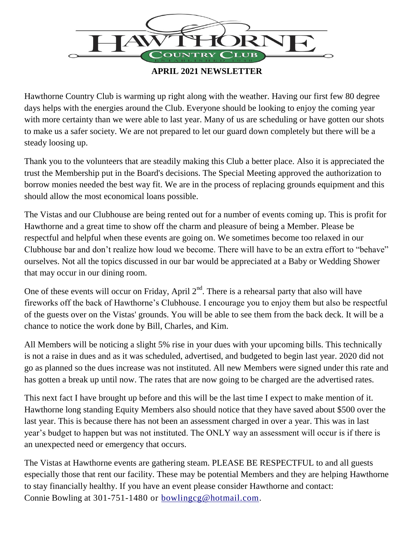

**APRIL 2021 NEWSLETTER**

Hawthorne Country Club is warming up right along with the weather. Having our first few 80 degree days helps with the energies around the Club. Everyone should be looking to enjoy the coming year with more certainty than we were able to last year. Many of us are scheduling or have gotten our shots to make us a safer society. We are not prepared to let our guard down completely but there will be a steady loosing up.

Thank you to the volunteers that are steadily making this Club a better place. Also it is appreciated the trust the Membership put in the Board's decisions. The Special Meeting approved the authorization to borrow monies needed the best way fit. We are in the process of replacing grounds equipment and this should allow the most economical loans possible.

The Vistas and our Clubhouse are being rented out for a number of events coming up. This is profit for Hawthorne and a great time to show off the charm and pleasure of being a Member. Please be respectful and helpful when these events are going on. We sometimes become too relaxed in our Clubhouse bar and don't realize how loud we become. There will have to be an extra effort to "behave" ourselves. Not all the topics discussed in our bar would be appreciated at a Baby or Wedding Shower that may occur in our dining room.

One of these events will occur on Friday, April  $2<sup>nd</sup>$ . There is a rehearsal party that also will have fireworks off the back of Hawthorne's Clubhouse. I encourage you to enjoy them but also be respectful of the guests over on the Vistas' grounds. You will be able to see them from the back deck. It will be a chance to notice the work done by Bill, Charles, and Kim.

All Members will be noticing a slight 5% rise in your dues with your upcoming bills. This technically is not a raise in dues and as it was scheduled, advertised, and budgeted to begin last year. 2020 did not go as planned so the dues increase was not instituted. All new Members were signed under this rate and has gotten a break up until now. The rates that are now going to be charged are the advertised rates.

This next fact I have brought up before and this will be the last time I expect to make mention of it. Hawthorne long standing Equity Members also should notice that they have saved about \$500 over the last year. This is because there has not been an assessment charged in over a year. This was in last year's budget to happen but was not instituted. The ONLY way an assessment will occur is if there is an unexpected need or emergency that occurs.

The Vistas at Hawthorne events are gathering steam. PLEASE BE RESPECTFUL to and all guests especially those that rent our facility. These may be potential Members and they are helping Hawthorne to stay financially healthy. If you have an event please consider Hawthorne and contact: Connie Bowling at 301-751-1480 or [bowlingcg@hotmail.com.](mailto:bowlingcg@hotmail.com)